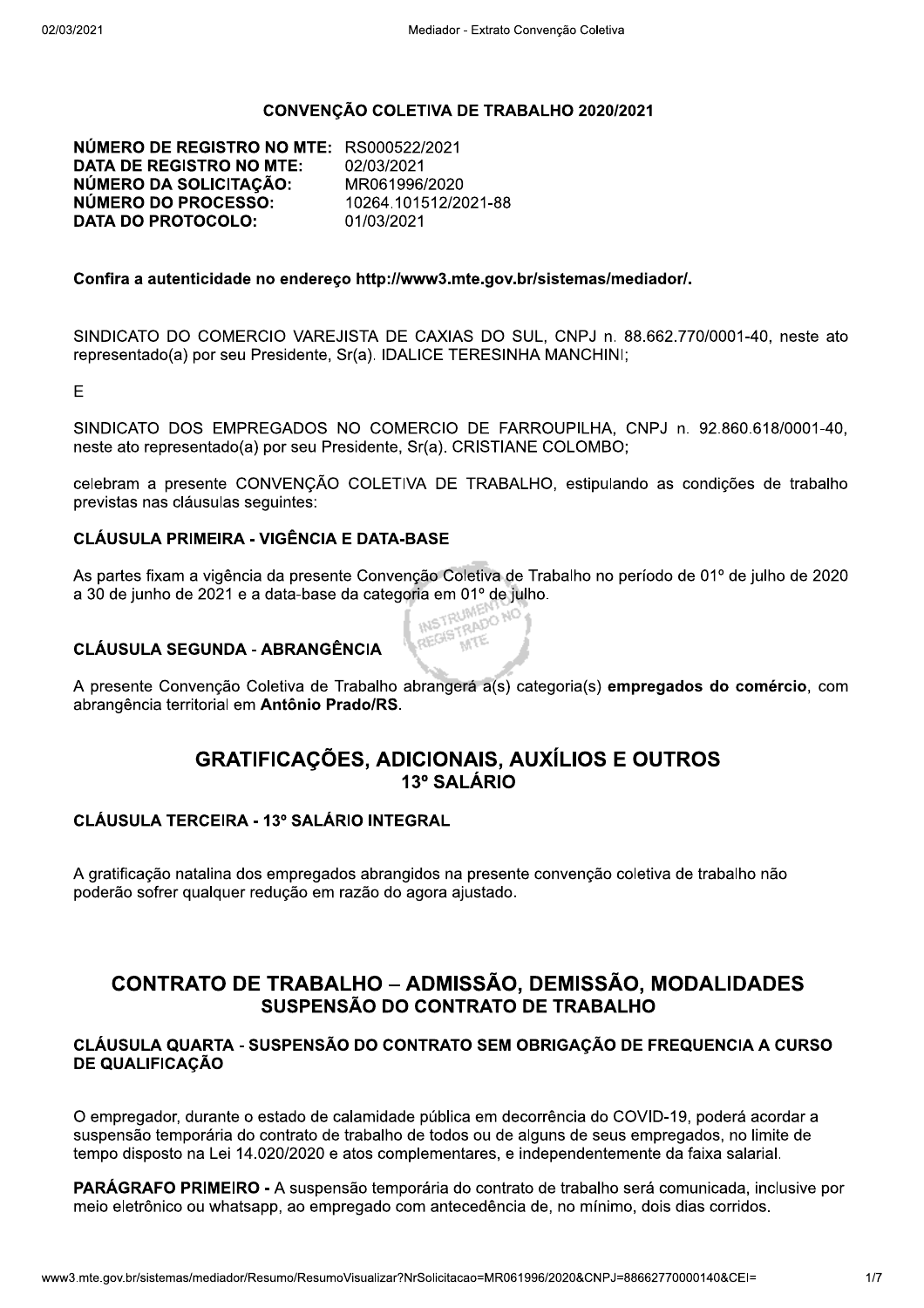#### CONVENÇÃO COLETIVA DE TRABALHO 2020/2021

NÚMERO DE REGISTRO NO MTE: RS000522/2021 **DATA DE REGISTRO NO MTE:** 02/03/2021 NÚMERO DA SOLICITAÇÃO: MR061996/2020 NÚMERO DO PROCESSO: 10264.101512/2021-88 **DATA DO PROTOCOLO:** 01/03/2021

#### Confira a autenticidade no endereco http://www3.mte.gov.br/sistemas/mediador/.

SINDICATO DO COMERCIO VAREJISTA DE CAXIAS DO SUL, CNPJ n. 88.662.770/0001-40, neste ato representado(a) por seu Presidente, Sr(a). IDALICE TERESINHA MANCHINI;

E

SINDICATO DOS EMPREGADOS NO COMERCIO DE FARROUPILHA, CNPJ n. 92.860.618/0001-40, neste ato representado(a) por seu Presidente, Sr(a). CRISTIANE COLOMBO;

celebram a presente CONVENÇÃO COLETIVA DE TRABALHO, estipulando as condições de trabalho previstas nas cláusulas seguintes:

## **CLÁUSULA PRIMEIRA - VIGÊNCIA E DATA-BASE**

As partes fixam a vigência da presente Convenção Coletiva de Trabalho no período de 01º de julho de 2020 a 30 de junho de 2021 e a data-base da categoria em 01º de julho. REGISTRADO NO

## **CLÁUSULA SEGUNDA - ABRANGÊNCIA**

A presente Convenção Coletiva de Trabalho abrangerá a(s) categoria(s) empregados do comércio, com abrangência territorial em Antônio Prado/RS.

# **GRATIFICAÇÕES, ADICIONAIS, AUXÍLIOS E OUTROS** 13º SAI ÁRIO

#### **CLÁUSULA TERCEIRA - 13º SALÁRIO INTEGRAL**

A gratificação natalina dos empregados abrangidos na presente convenção coletiva de trabalho não poderão sofrer qualquer redução em razão do agora ajustado.

# **CONTRATO DE TRABALHO - ADMISSÃO, DEMISSÃO, MODALIDADES** SUSPENSÃO DO CONTRATO DE TRABALHO

## CLÁUSULA QUARTA - SUSPENSÃO DO CONTRATO SEM OBRIGAÇÃO DE FREQUENCIA A CURSO **DE QUALIFICACÃO**

O empregador, durante o estado de calamidade pública em decorrência do COVID-19, poderá acordar a suspensão temporária do contrato de trabalho de todos ou de alguns de seus empregados, no limite de tempo disposto na Lei 14.020/2020 e atos complementares, e independentemente da faixa salarial.

PARÁGRAFO PRIMEIRO - A suspensão temporária do contrato de trabalho será comunicada, inclusive por meio eletrônico ou whatsapp, ao empregado com antecedência de, no mínimo, dois dias corridos.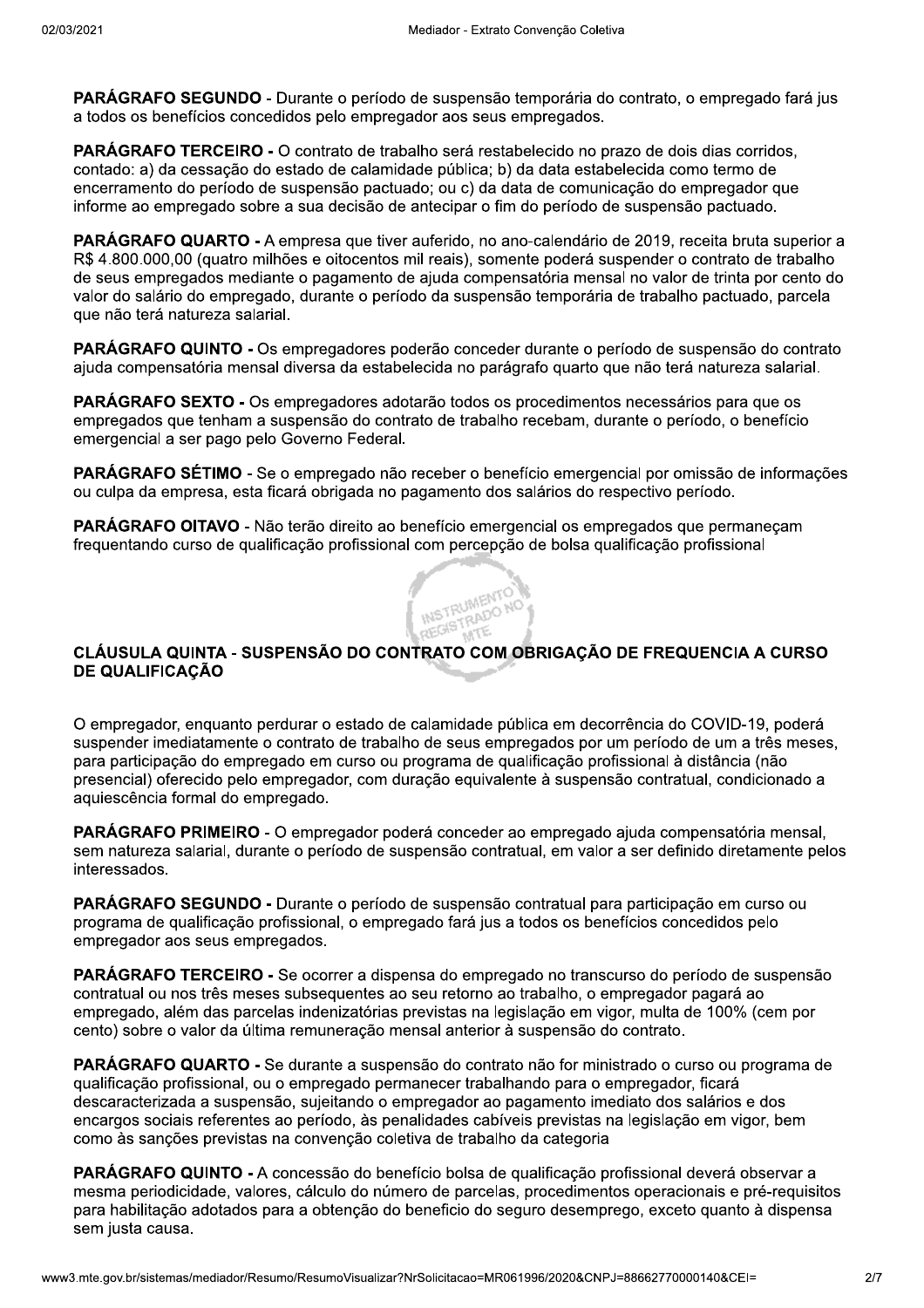PARÁGRAFO SEGUNDO - Durante o período de suspensão temporária do contrato, o empregado fará jus a todos os benefícios concedidos pelo empregador aos seus empregados.

PARÁGRAFO TERCEIRO - O contrato de trabalho será restabelecido no prazo de dois dias corridos. contado: a) da cessação do estado de calamidade pública; b) da data estabelecida como termo de encerramento do período de suspensão pactuado; ou c) da data de comunicação do empregador que informe ao empregado sobre a sua decisão de antecipar o fim do período de suspensão pactuado.

PARÁGRAFO QUARTO - A empresa que tiver auferido, no ano-calendário de 2019, receita bruta superior a R\$ 4.800.000,00 (quatro milhões e oitocentos mil reais), somente poderá suspender o contrato de trabalho de seus empregados mediante o pagamento de ajuda compensatória mensal no valor de trinta por cento do valor do salário do empregado, durante o período da suspensão temporária de trabalho pactuado, parcela que não terá natureza salarial.

PARÁGRAFO QUINTO - Os empregadores poderão conceder durante o período de suspensão do contrato ajuda compensatória mensal diversa da estabelecida no parágrafo quarto que não terá natureza salarial.

**PARÁGRAFO SEXTO -** Os empregadores adotarão todos os procedimentos necessários para que os empregados que tenham a suspensão do contrato de trabalho recebam, durante o período, o benefício emergencial a ser pago pelo Governo Federal.

PARÁGRAFO SÉTIMO - Se o empregado não receber o benefício emergencial por omissão de informações ou culpa da empresa, esta ficará obrigada no pagamento dos salários do respectivo período.

PARÁGRAFO OITAVO - Não terão direito ao benefício emergencial os empregados que permaneçam freguentando curso de gualificação profissional com percepção de bolsa gualificação profissional

#### CLÁUSULA QUINTA - SUSPENSÃO DO CONTRATO COM OBRIGAÇÃO DE FREQUENCIA A CURSO **DE QUALIFICAÇÃO**

O empregador, enguanto perdurar o estado de calamidade pública em decorrência do COVID-19, poderá suspender imediatamente o contrato de trabalho de seus empregados por um período de um a três meses, para participação do empregado em curso ou programa de qualificação profissional à distância (não presencial) oferecido pelo empregador, com duração equivalente à suspensão contratual, condicionado a aquiescência formal do empregado.

PARÁGRAFO PRIMEIRO - O empregador poderá conceder ao empregado ajuda compensatória mensal. sem natureza salarial, durante o período de suspensão contratual, em valor a ser definido diretamente pelos interessados.

PARÁGRAFO SEGUNDO - Durante o período de suspensão contratual para participação em curso ou programa de qualificação profissional, o empregado fará jus a todos os benefícios concedidos pelo empregador aos seus empregados.

**PARÁGRAFO TERCEIRO -** Se ocorrer a dispensa do empregado no transcurso do período de suspensão contratual ou nos três meses subsequentes ao seu retorno ao trabalho, o empregador pagará ao empregado, além das parcelas indenizatórias previstas na legislação em vigor, multa de 100% (cem por cento) sobre o valor da última remuneração mensal anterior à suspensão do contrato.

PARÁGRAFO QUARTO - Se durante a suspensão do contrato não for ministrado o curso ou programa de qualificação profissional, ou o empregado permanecer trabalhando para o empregador, ficará descaracterizada a suspensão, sujeitando o empregador ao pagamento imediato dos salários e dos encargos sociais referentes ao período, às penalidades cabíveis previstas na legislação em vigor, bem como às sanções previstas na convenção coletiva de trabalho da categoria

**PARÁGRAFO QUINTO -** A concessão do benefício bolsa de qualificação profissional deverá observar a mesma periodicidade, valores, cálculo do número de parcelas, procedimentos operacionais e pré-reguisitos para habilitação adotados para a obtenção do beneficio do seguro desemprego, exceto quanto à dispensa sem justa causa.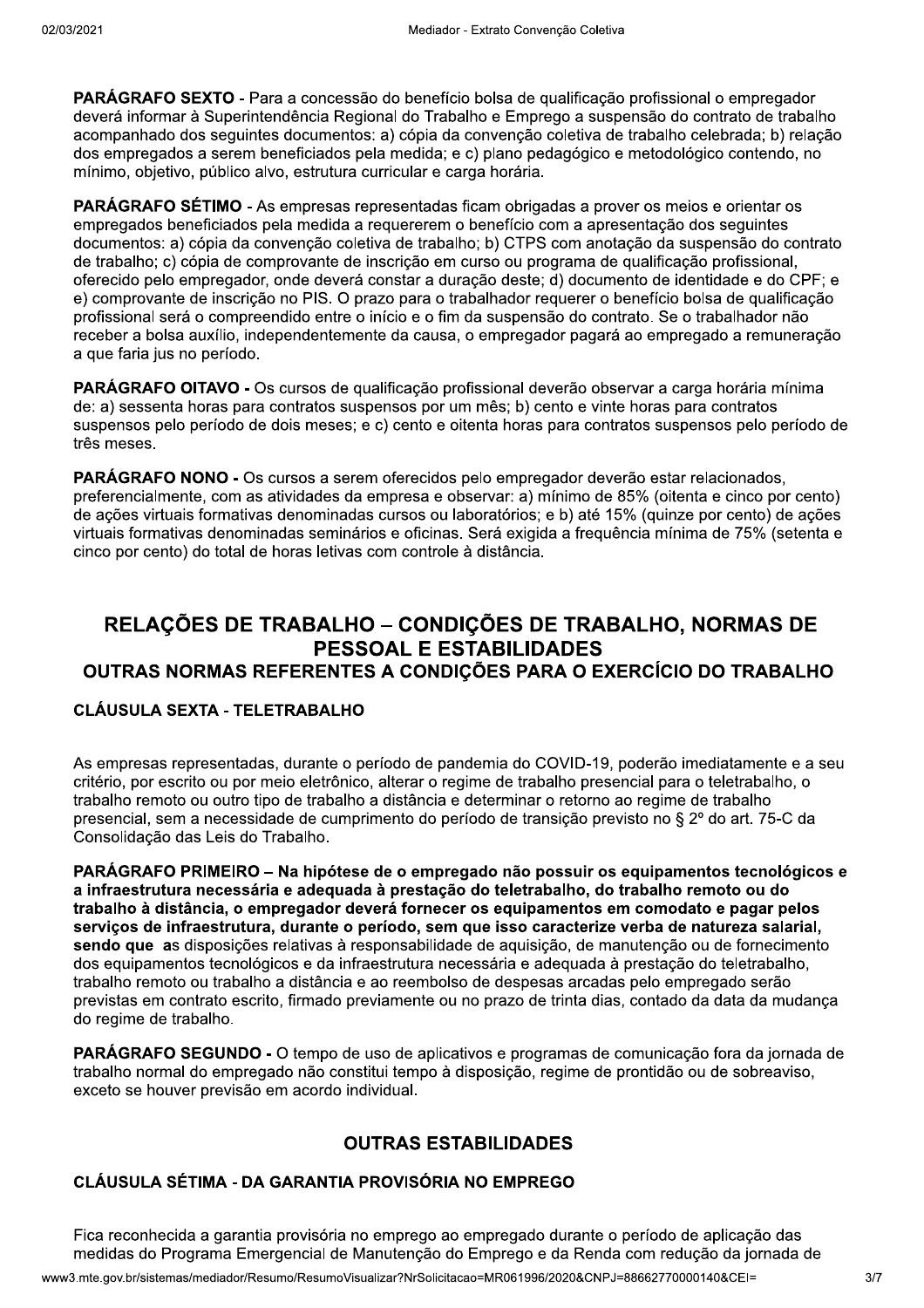PARÁGRAFO SEXTO - Para a concessão do benefício bolsa de qualificação profissional o empregador deverá informar à Superintendência Regional do Trabalho e Emprego a suspensão do contrato de trabalho acompanhado dos seguintes documentos: a) cópia da convenção coletiva de trabalho celebrada: b) relação dos empregados a serem beneficiados pela medida; e c) plano pedagógico e metodológico contendo, no mínimo, objetivo, público alvo, estrutura curricular e carga horária.

PARÁGRAFO SÉTIMO - As empresas representadas ficam obrigadas a prover os meios e orientar os empregados beneficiados pela medida a requererem o benefício com a apresentação dos seguintes documentos: a) cópia da convenção coletiva de trabalho; b) CTPS com anotação da suspensão do contrato de trabalho: c) cópia de comprovante de inscrição em curso ou programa de qualificação profissional. oferecido pelo empregador, onde deverá constar a duração deste; d) documento de identidade e do CPF; e e) comprovante de inscrição no PIS. O prazo para o trabalhador requerer o benefício bolsa de qualificação profissional será o compreendido entre o início e o fim da suspensão do contrato. Se o trabalhador não receber a bolsa auxílio, independentemente da causa, o empregador pagará ao empregado a remuneração a que faria jus no período.

**PARÁGRAFO OITAVO -** Os cursos de qualificação profissional deverão observar a carga horária mínima de: a) sessenta horas para contratos suspensos por um mês: b) cento e vinte horas para contratos suspensos pelo período de dois meses; e c) cento e oitenta horas para contratos suspensos pelo período de três meses.

PARÁGRAFO NONO - Os cursos a serem oferecidos pelo empregador deverão estar relacionados, preferencialmente, com as atividades da empresa e observar: a) mínimo de 85% (oitenta e cinco por cento) de ações virtuais formativas denominadas cursos ou laboratórios: e b) até 15% (quinze por cento) de ações virtuais formativas denominadas seminários e oficinas. Será exigida a frequência mínima de 75% (setenta e cinco por cento) do total de horas letivas com controle à distância.

# RELAÇÕES DE TRABALHO – CONDIÇÕES DE TRABALHO, NORMAS DE **PESSOAL E ESTABILIDADES** OUTRAS NORMAS REFERENTES A CONDIÇÕES PARA O EXERCÍCIO DO TRABALHO

## **CLÁUSULA SEXTA - TELETRABALHO**

As empresas representadas, durante o período de pandemia do COVID-19, poderão imediatamente e a seu critério, por escrito ou por meio eletrônico, alterar o regime de trabalho presencial para o teletrabalho, o trabalho remoto ou outro tipo de trabalho a distância e determinar o retorno ao regime de trabalho presencial, sem a necessidade de cumprimento do período de transição previsto no § 2º do art. 75-C da Consolidação das Leis do Trabalho.

PARÁGRAFO PRIMEIRO – Na hipótese de o empregado não possuir os equipamentos tecnológicos e a infraestrutura necessária e adequada à prestação do teletrabalho, do trabalho remoto ou do trabalho à distância, o empregador deverá fornecer os equipamentos em comodato e pagar pelos serviços de infraestrutura, durante o período, sem que isso caracterize verba de natureza salarial, sendo que as disposições relativas à responsabilidade de aquisição, de manutenção ou de fornecimento dos equipamentos tecnológicos e da infraestrutura necessária e adeguada à prestação do teletrabalho. trabalho remoto ou trabalho a distância e ao reembolso de despesas arcadas pelo empregado serão previstas em contrato escrito, firmado previamente ou no prazo de trinta dias, contado da data da mudança do regime de trabalho.

PARÁGRAFO SEGUNDO - O tempo de uso de aplicativos e programas de comunicação fora da jornada de trabalho normal do empregado não constitui tempo à disposição, regime de prontidão ou de sobreaviso, exceto se houver previsão em acordo individual.

## **OUTRAS ESTABILIDADES**

## CLÁUSULA SÉTIMA - DA GARANTIA PROVISÓRIA NO EMPREGO

Fica reconhecida a garantia provisória no emprego ao empregado durante o período de aplicação das medidas do Programa Emergencial de Manutenção do Emprego e da Renda com redução da jornada de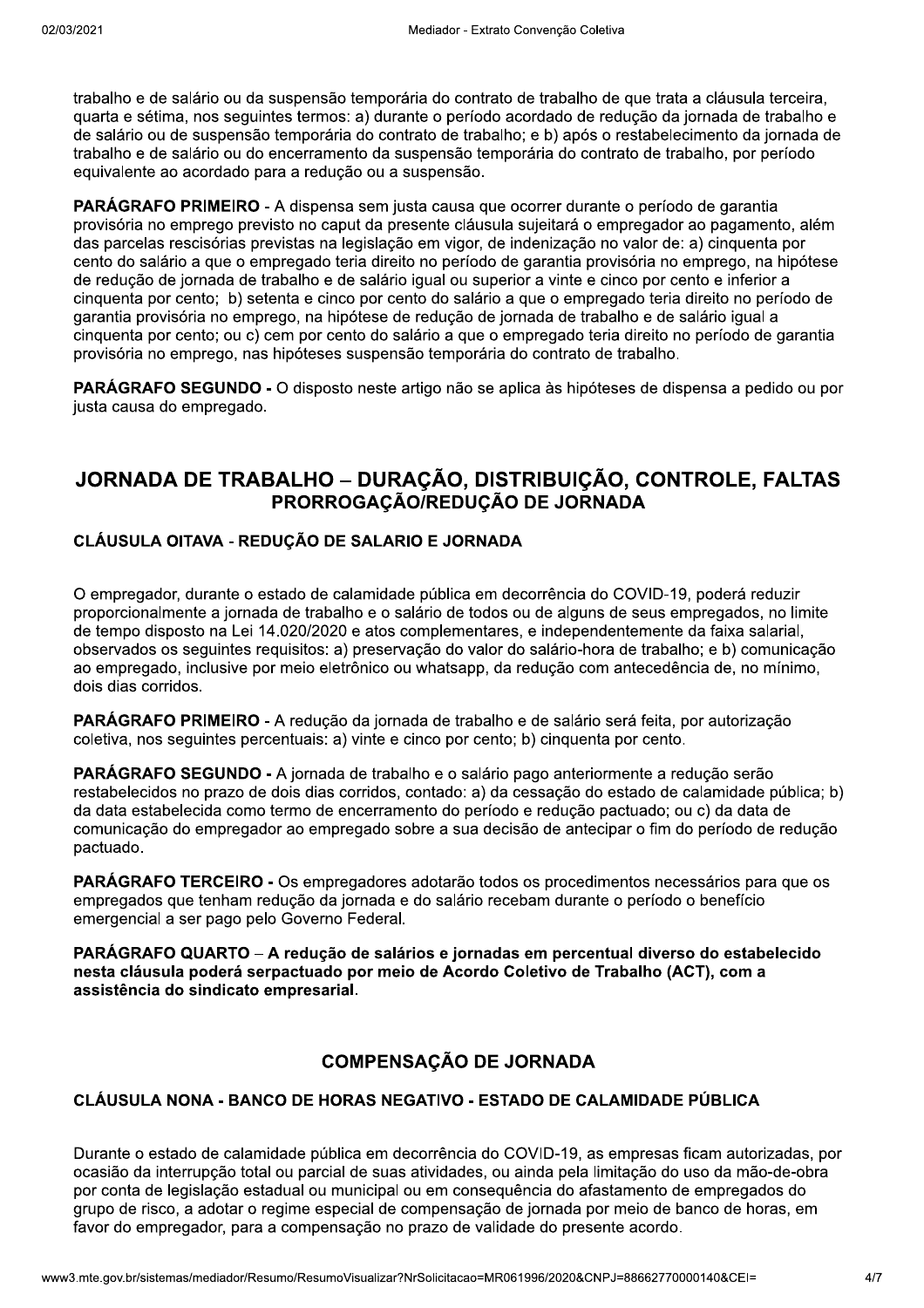trabalho e de salário ou da suspensão temporária do contrato de trabalho de que trata a cláusula terceira, quarta e sétima, nos seguintes termos: a) durante o período acordado de redução da jornada de trabalho e de salário ou de suspensão temporária do contrato de trabalho: e b) após o restabelecimento da jornada de trabalho e de salário ou do encerramento da suspensão temporária do contrato de trabalho, por período equivalente ao acordado para a redução ou a suspensão.

PARÁGRAFO PRIMEIRO - A dispensa sem justa causa que ocorrer durante o período de garantia provisória no emprego previsto no caput da presente cláusula sujeitará o empregador ao pagamento, além das parcelas rescisórias previstas na legislação em vigor, de indenização no valor de: a) cinquenta por cento do salário a que o empregado teria direito no período de garantia provisória no emprego, na hipótese de reducão de jornada de trabalho e de salário igual ou superior a vinte e cinco por cento e inferior a cinquenta por cento; b) setenta e cinco por cento do salário a que o empregado teria direito no período de garantia provisória no emprego, na hipótese de redução de jornada de trabalho e de salário igual a cinguenta por cento: ou c) cem por cento do salário a que o empregado teria direito no período de garantia provisória no emprego, nas hipóteses suspensão temporária do contrato de trabalho.

**PARÁGRAFO SEGUNDO -** O disposto neste artigo não se aplica às hipóteses de dispensa a pedido ou por justa causa do empregado.

# JORNADA DE TRABALHO - DURAÇÃO, DISTRIBUIÇÃO, CONTROLE, FALTAS PRORROGAÇÃO/REDUÇÃO DE JORNADA

# CLÁUSULA OITAVA - REDUCÃO DE SALARIO E JORNADA

O empregador, durante o estado de calamidade pública em decorrência do COVID-19, poderá reduzir proporcionalmente a jornada de trabalho e o salário de todos ou de alguns de seus empregados, no limite de tempo disposto na Lei 14.020/2020 e atos complementares, e independentemente da faixa salarial, observados os seguintes reguisitos: a) preservação do valor do salário-hora de trabalho; e b) comunicação ao empregado, inclusive por meio eletrônico ou whatsapp, da redução com antecedência de, no mínimo, dois dias corridos.

PARÁGRAFO PRIMEIRO - A redução da jornada de trabalho e de salário será feita, por autorização coletiva, nos seguintes percentuais: a) vinte e cinco por cento; b) cinquenta por cento.

PARÁGRAFO SEGUNDO - A jornada de trabalho e o salário pago anteriormente a redução serão restabelecidos no prazo de dois dias corridos, contado: a) da cessação do estado de calamidade pública; b) da data estabelecida como termo de encerramento do período e redução pactuado; ou c) da data de comunicação do empregador ao empregado sobre a sua decisão de antecipar o fim do período de redução pactuado.

PARÁGRAFO TERCEIRO - Os empregadores adotarão todos os procedimentos necessários para que os empregados que tenham redução da jornada e do salário recebam durante o período o benefício emergencial a ser pago pelo Governo Federal.

PARÁGRAFO QUARTO – A redução de salários e jornadas em percentual diverso do estabelecido nesta cláusula poderá serpactuado por meio de Acordo Coletivo de Trabalho (ACT), com a assistência do sindicato empresarial.

# **COMPENSAÇÃO DE JORNADA**

## CLÁUSULA NONA - BANCO DE HORAS NEGATIVO - ESTADO DE CALAMIDADE PÚBLICA

Durante o estado de calamidade pública em decorrência do COVID-19, as empresas ficam autorizadas, por ocasião da interrupção total ou parcial de suas atividades, ou ainda pela limitação do uso da mão-de-obra por conta de legislação estadual ou municipal ou em conseguência do afastamento de empregados do grupo de risco, a adotar o regime especial de compensação de jornada por meio de banco de horas, em favor do empregador, para a compensação no prazo de validade do presente acordo.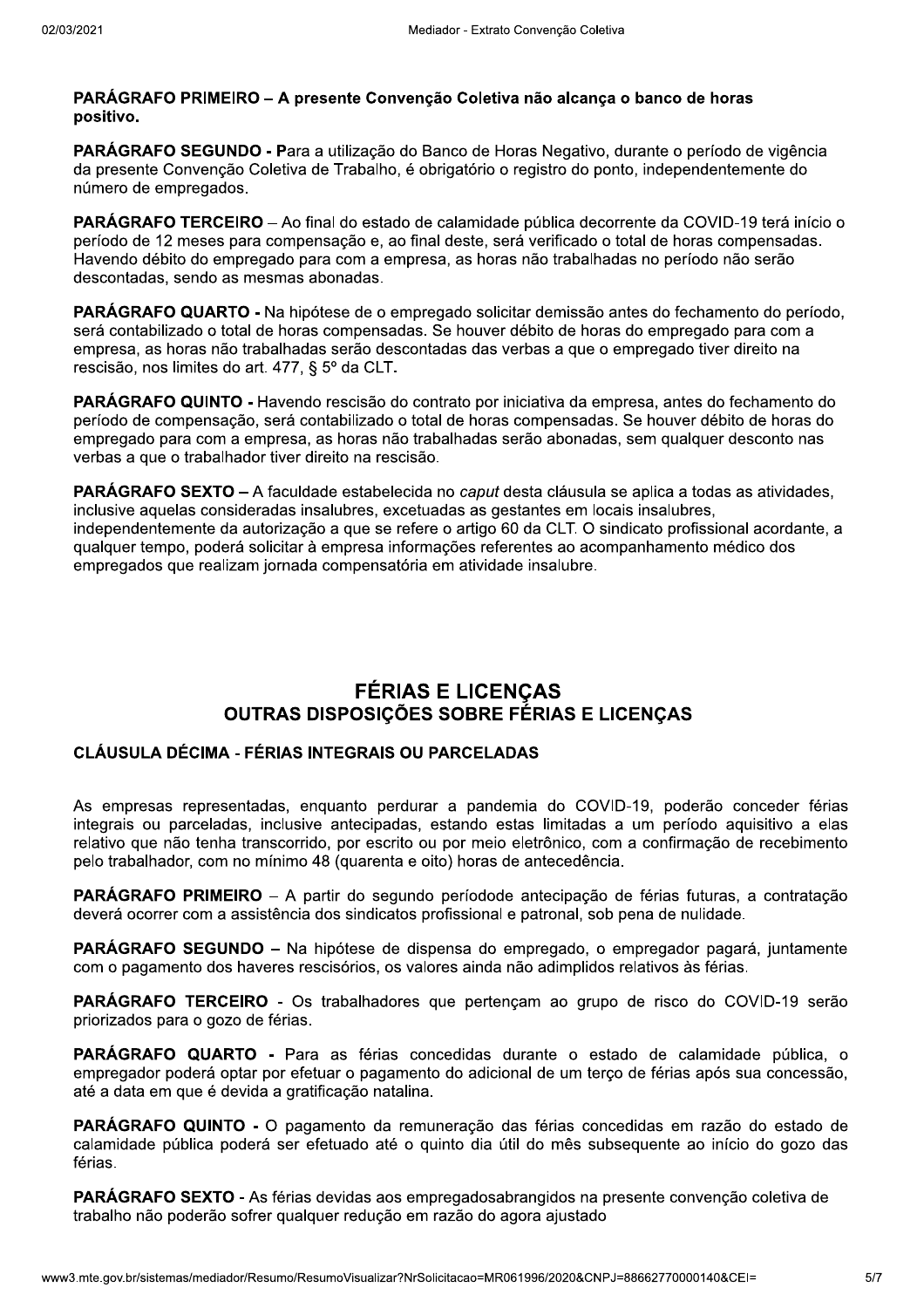#### PARÁGRAFO PRIMEIRO – A presente Convenção Coletiva não alcança o banco de horas positivo.

PARÁGRAFO SEGUNDO - Para a utilização do Banco de Horas Negativo, durante o período de vigência da presente Convenção Coletiva de Trabalho, é obrigatório o registro do ponto, independentemente do número de empregados.

PARÁGRAFO TERCEIRO - Ao final do estado de calamidade pública decorrente da COVID-19 terá início o período de 12 meses para compensação e, ao final deste, será verificado o total de horas compensadas. Havendo débito do empregado para com a empresa, as horas não trabalhadas no período não serão descontadas, sendo as mesmas abonadas.

**PARÁGRAFO QUARTO -** Na hipótese de o empregado solicitar demissão antes do fechamento do período, será contabilizado o total de horas compensadas. Se houver débito de horas do empregado para com a empresa, as horas não trabalhadas serão descontadas das verbas a que o empregado tiver direito na rescisão, nos limites do art. 477, § 5º da CLT.

**PARÁGRAFO QUINTO - Havendo rescisão do contrato por iniciativa da empresa, antes do fechamento do** período de compensação, será contabilizado o total de horas compensadas. Se houver débito de horas do empregado para com a empresa, as horas não trabalhadas serão abonadas, sem qualquer desconto nas verbas a que o trabalhador tiver direito na rescisão.

PARÁGRAFO SEXTO - A faculdade estabelecida no caput desta cláusula se aplica a todas as atividades, inclusive aquelas consideradas insalubres, excetuadas as gestantes em locais insalubres. independentemente da autorização a que se refere o artigo 60 da CLT. O sindicato profissional acordante, a qualquer tempo, poderá solicitar à empresa informações referentes ao acompanhamento médico dos empregados que realizam jornada compensatória em atividade insalubre.

# **FÉRIAS E LICENÇAS OUTRAS DISPOSICÕES SOBRE FÉRIAS E LICENCAS**

## **CLÁUSULA DÉCIMA - FÉRIAS INTEGRAIS OU PARCELADAS**

As empresas representadas, enquanto perdurar a pandemia do COVID-19, poderão conceder férias integrais ou parceladas, inclusive antecipadas, estando estas limitadas a um período aguisitivo a elas relativo que não tenha transcorrido, por escrito ou por meio eletrônico, com a confirmação de recebimento pelo trabalhador, com no mínimo 48 (quarenta e oito) horas de antecedência.

PARÁGRAFO PRIMEIRO - A partir do segundo períodode antecipação de férias futuras, a contratação deverá ocorrer com a assistência dos sindicatos profissional e patronal, sob pena de nulidade.

PARÁGRAFO SEGUNDO - Na hipótese de dispensa do empregado, o empregador pagará, juntamente com o pagamento dos haveres rescisórios, os valores ainda não adimplidos relativos às férias.

PARÁGRAFO TERCEIRO - Os trabalhadores que pertençam ao grupo de risco do COVID-19 serão priorizados para o gozo de férias.

PARÁGRAFO QUARTO - Para as férias concedidas durante o estado de calamidade pública, o empregador poderá optar por efetuar o pagamento do adicional de um terço de férias após sua concessão, até a data em que é devida a gratificação natalina.

PARÁGRAFO QUINTO - O pagamento da remuneração das férias concedidas em razão do estado de calamidade pública poderá ser efetuado até o quinto dia útil do mês subsequente ao início do gozo das férias.

PARÁGRAFO SEXTO - As férias devidas aos empregadosabrangidos na presente convenção coletiva de trabalho não poderão sofrer qualquer redução em razão do agora ajustado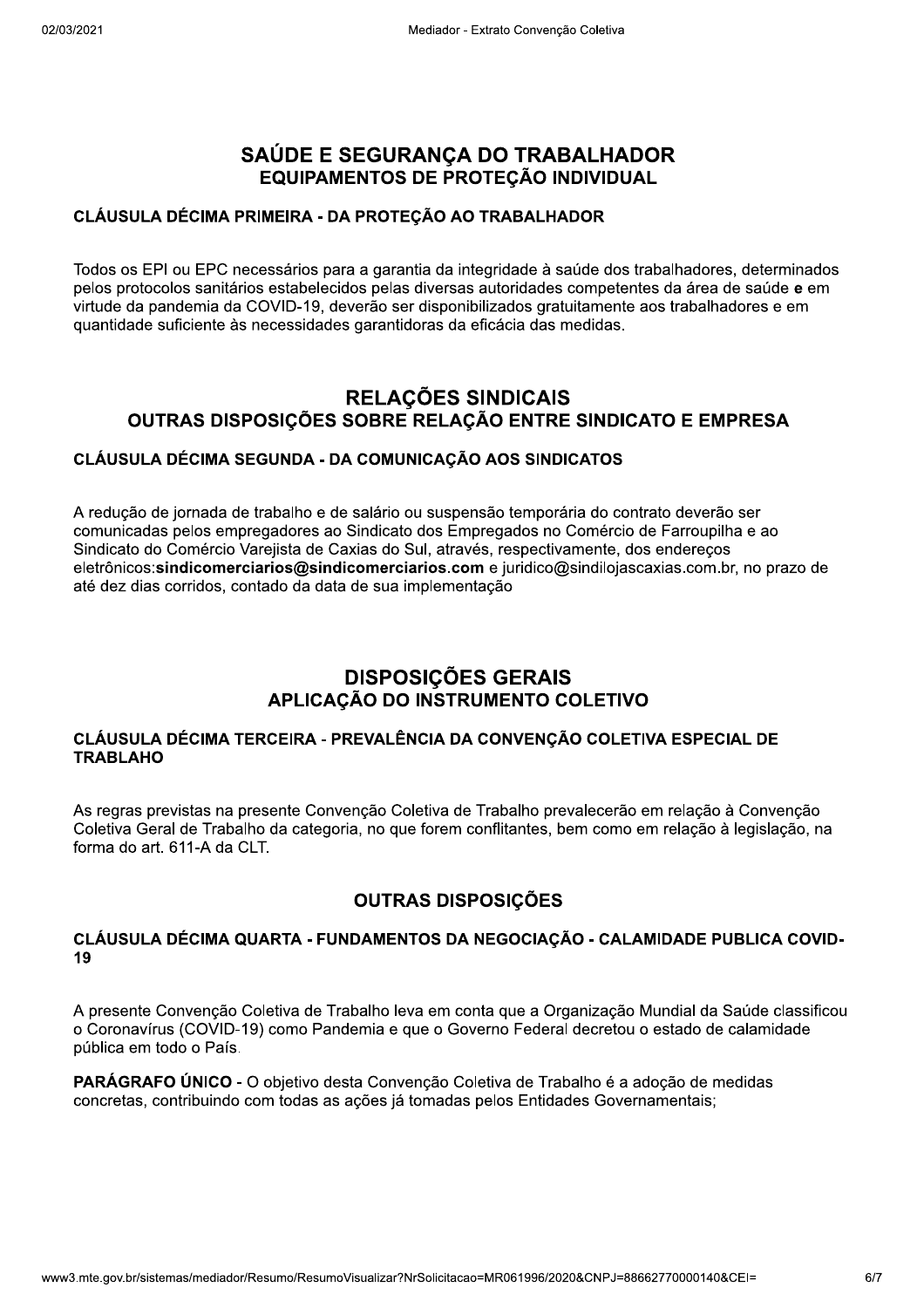# SAÚDE E SEGURANCA DO TRABALHADOR EQUIPAMENTOS DE PROTEÇÃO INDIVIDUAL

#### CLÁUSULA DÉCIMA PRIMEIRA - DA PROTEÇÃO AO TRABALHADOR

Todos os EPI ou EPC necessários para a garantia da integridade à saúde dos trabalhadores, determinados pelos protocolos sanitários estabelecidos pelas diversas autoridades competentes da área de saúde e em virtude da pandemia da COVID-19, deverão ser disponibilizados gratuitamente aos trabalhadores e em quantidade suficiente às necessidades garantidoras da eficácia das medidas.

# **RELAÇÕES SINDICAIS** OUTRAS DISPOSIÇÕES SOBRE RELAÇÃO ENTRE SINDICATO E EMPRESA

## CLÁUSULA DÉCIMA SEGUNDA - DA COMUNICAÇÃO AOS SINDICATOS

A redução de jornada de trabalho e de salário ou suspensão temporária do contrato deverão ser comunicadas pelos empregadores ao Sindicato dos Empregados no Comércio de Farroupilha e ao Sindicato do Comércio Varejista de Caxias do Sul, através, respectivamente, dos enderecos eletrônicos: sindicomerciarios@sindicomerciarios.com e juridico@sindilojascaxias.com.br, no prazo de até dez dias corridos, contado da data de sua implementação

# **DISPOSIÇÕES GERAIS<br>APLICAÇÃO DO INSTRUMENTO COLETIVO**

#### CLÁUSULA DÉCIMA TERCEIRA - PREVALÊNCIA DA CONVENÇÃO COLETIVA ESPECIAL DE **TRABLAHO**

As regras previstas na presente Convenção Coletiva de Trabalho prevalecerão em relação à Convenção Coletiva Geral de Trabalho da categoria, no que forem conflitantes, bem como em relação à legislação, na forma do art. 611-A da CLT.

# **OUTRAS DISPOSIÇÕES**

#### CLÁUSULA DÉCIMA QUARTA - FUNDAMENTOS DA NEGOCIAÇÃO - CALAMIDADE PUBLICA COVID-19

A presente Convenção Coletiva de Trabalho leva em conta que a Organização Mundial da Saúde classificou o Coronavírus (COVID-19) como Pandemia e que o Governo Federal decretou o estado de calamidade pública em todo o País.

**PARÁGRAFO ÚNICO** - O obietivo desta Convenção Coletiva de Trabalho é a adoção de medidas concretas, contribuindo com todas as ações já tomadas pelos Entidades Governamentais;